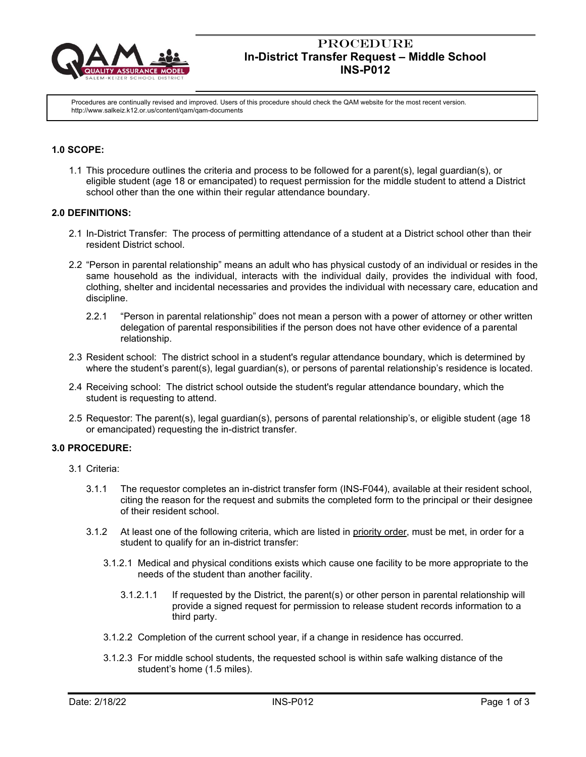

# **PROCEDURE In-District Transfer Request – Middle School INS-P012**

Procedures are continually revised and improved. Users of this procedure should check the QAM website for the most recent version. http://www.salkeiz.k12.or.us/content/qam/qam-documents

# **1.0 SCOPE:**

1.1 This procedure outlines the criteria and process to be followed for a parent(s), legal guardian(s), or eligible student (age 18 or emancipated) to request permission for the middle student to attend a District school other than the one within their regular attendance boundary.

## **2.0 DEFINITIONS:**

- 2.1 In-District Transfer: The process of permitting attendance of a student at a District school other than their resident District school.
- 2.2 "Person in parental relationship" means an adult who has physical custody of an individual or resides in the same household as the individual, interacts with the individual daily, provides the individual with food, clothing, shelter and incidental necessaries and provides the individual with necessary care, education and discipline.
	- 2.2.1 "Person in parental relationship" does not mean a person with a power of attorney or other written delegation of parental responsibilities if the person does not have other evidence of a parental relationship.
- 2.3 Resident school: The district school in a student's regular attendance boundary, which is determined by where the student's parent(s), legal guardian(s), or persons of parental relationship's residence is located.
- 2.4 Receiving school: The district school outside the student's regular attendance boundary, which the student is requesting to attend.
- 2.5 Requestor: The parent(s), legal guardian(s), persons of parental relationship's, or eligible student (age 18 or emancipated) requesting the in-district transfer.

### **3.0 PROCEDURE:**

- 3.1 Criteria:
	- 3.1.1 The requestor completes an in-district transfer form (INS-F044), available at their resident school, citing the reason for the request and submits the completed form to the principal or their designee of their resident school.
	- 3.1.2 At least one of the following criteria, which are listed in priority order, must be met, in order for a student to qualify for an in-district transfer:
		- 3.1.2.1 Medical and physical conditions exists which cause one facility to be more appropriate to the needs of the student than another facility.
			- 3.1.2.1.1 If requested by the District, the parent(s) or other person in parental relationship will provide a signed request for permission to release student records information to a third party.
		- 3.1.2.2 Completion of the current school year, if a change in residence has occurred.
		- 3.1.2.3 For middle school students, the requested school is within safe walking distance of the student's home (1.5 miles).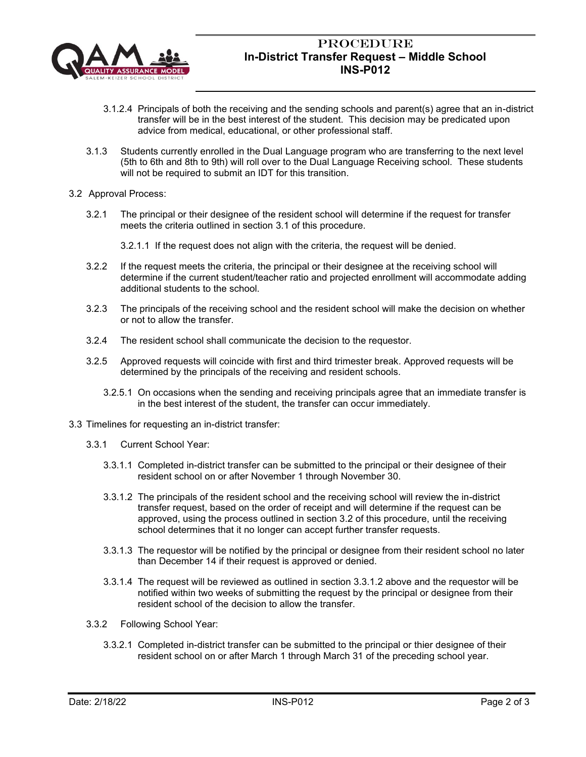

# **PROCEDURE In-District Transfer Request – Middle School INS-P012**

- 3.1.2.4 Principals of both the receiving and the sending schools and parent(s) agree that an in-district transfer will be in the best interest of the student. This decision may be predicated upon advice from medical, educational, or other professional staff.
- 3.1.3 Students currently enrolled in the Dual Language program who are transferring to the next level (5th to 6th and 8th to 9th) will roll over to the Dual Language Receiving school. These students will not be required to submit an IDT for this transition.
- 3.2 Approval Process:
	- 3.2.1 The principal or their designee of the resident school will determine if the request for transfer meets the criteria outlined in section 3.1 of this procedure.

3.2.1.1 If the request does not align with the criteria, the request will be denied.

- 3.2.2 If the request meets the criteria, the principal or their designee at the receiving school will determine if the current student/teacher ratio and projected enrollment will accommodate adding additional students to the school.
- 3.2.3 The principals of the receiving school and the resident school will make the decision on whether or not to allow the transfer.
- 3.2.4 The resident school shall communicate the decision to the requestor.
- 3.2.5 Approved requests will coincide with first and third trimester break. Approved requests will be determined by the principals of the receiving and resident schools.
	- 3.2.5.1 On occasions when the sending and receiving principals agree that an immediate transfer is in the best interest of the student, the transfer can occur immediately.
- 3.3 Timelines for requesting an in-district transfer:
	- 3.3.1 Current School Year:
		- 3.3.1.1 Completed in-district transfer can be submitted to the principal or their designee of their resident school on or after November 1 through November 30.
		- 3.3.1.2 The principals of the resident school and the receiving school will review the in-district transfer request, based on the order of receipt and will determine if the request can be approved, using the process outlined in section 3.2 of this procedure, until the receiving school determines that it no longer can accept further transfer requests.
		- 3.3.1.3 The requestor will be notified by the principal or designee from their resident school no later than December 14 if their request is approved or denied.
		- 3.3.1.4 The request will be reviewed as outlined in section 3.3.1.2 above and the requestor will be notified within two weeks of submitting the request by the principal or designee from their resident school of the decision to allow the transfer.
	- 3.3.2 Following School Year:
		- 3.3.2.1 Completed in-district transfer can be submitted to the principal or thier designee of their resident school on or after March 1 through March 31 of the preceding school year.